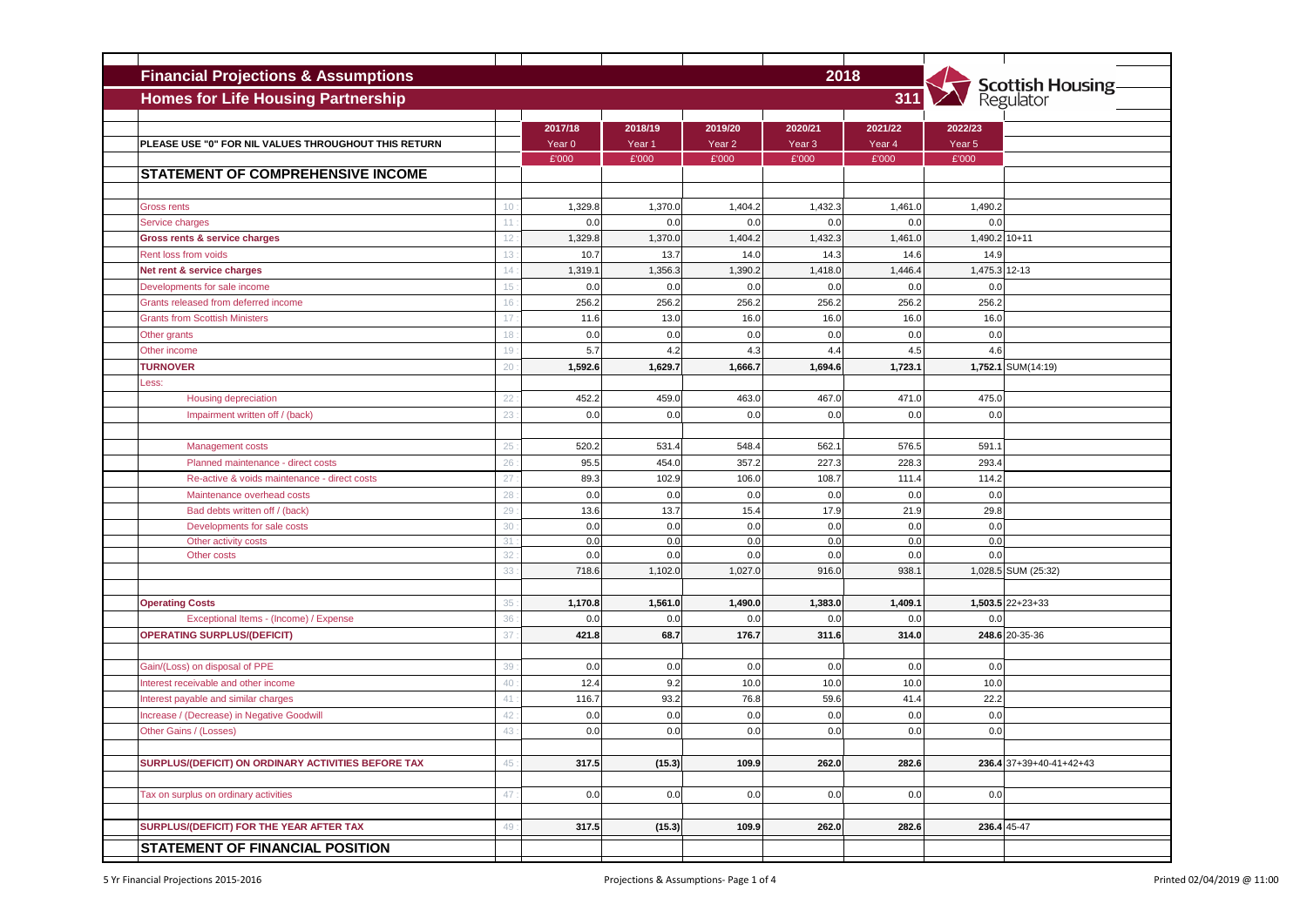| <b>Financial Projections &amp; Assumptions</b>               |          | 2018                         |                              |                              |                              |                   |                              |                                       |
|--------------------------------------------------------------|----------|------------------------------|------------------------------|------------------------------|------------------------------|-------------------|------------------------------|---------------------------------------|
| <b>Homes for Life Housing Partnership</b><br>311             |          |                              |                              |                              |                              |                   |                              | <b>Scottish Housing-</b><br>Regulator |
|                                                              |          |                              |                              |                              |                              |                   |                              |                                       |
| PLEASE USE "0" FOR NIL VALUES THROUGHOUT THIS RETURN         |          | 2017/18<br>Year <sub>0</sub> | 2018/19<br>Year <sub>1</sub> | 2019/20<br>Year <sub>2</sub> | 2020/21<br>Year <sub>3</sub> | 2021/22<br>Year 4 | 2022/23<br>Year <sub>5</sub> |                                       |
|                                                              |          | £'000                        | £'000                        | £'000                        | £'000                        | £'000             | £'000                        |                                       |
| <b>STATEMENT OF COMPREHENSIVE INCOME</b>                     |          |                              |                              |                              |                              |                   |                              |                                       |
|                                                              |          |                              |                              |                              |                              |                   |                              |                                       |
| <b>Gross rents</b>                                           | 10       | 1,329.8                      | 1,370.0                      | 1,404.2                      | 1,432.3                      | 1,461.0           | 1,490.2                      |                                       |
| <b>Service charges</b>                                       | 11       | 0.0                          | 0.0                          | 0.0                          | 0.0                          | 0.0               | 0.0                          |                                       |
| Gross rents & service charges                                | 12       | 1,329.8                      | 1,370.0                      | 1,404.2                      | 1,432.3                      | 1,461.0           | 1,490.2 10+11                |                                       |
| <b>Rent loss from voids</b>                                  | 13       | 10.7                         | 13.7                         | 14.0                         | 14.3                         | 14.6              | 14.9                         |                                       |
| Net rent & service charges                                   | 14       | 1,319.7                      | 1,356.3                      | 1,390.2                      | 1,418.0                      | 1,446.4           | 1,475.3                      | $12 - 13$                             |
| Developments for sale income                                 | 15       | 0.0                          | 0.0                          | 0.0                          | 0.0                          | 0.0               | 0.0                          |                                       |
| Grants released from deferred income                         | 16       | 256.2                        | 256.2                        | 256.2                        | 256.2                        | 256.2             | 256.2                        |                                       |
| <b>Grants from Scottish Ministers</b>                        | 17       | 11.6                         | 13.0                         | 16.0                         | 16.0                         | 16.0              | 16.0                         |                                       |
| Other grants                                                 | 18       | 0.0                          | 0.0                          | 0.0                          | 0.0                          | 0.0               | 0.0                          |                                       |
| Other income                                                 | 19       | 5.7                          | 4.2                          | 4.3                          | 4.4                          | 4.5               | 4.6                          |                                       |
| <b>TURNOVER</b>                                              | 20       | 1,592.6                      | 1,629.7                      | 1,666.7                      | 1,694.6                      | 1,723.1           |                              | 1,752.1 SUM(14:19)                    |
| _ess:                                                        |          |                              |                              |                              |                              |                   |                              |                                       |
| Housing depreciation                                         | 22       | 452.2                        | 459.0                        | 463.0                        | 467.0                        | 471.0             | 475.0                        |                                       |
| Impairment written off / (back)                              | 23       | 0.0                          | 0.0                          | 0.0                          | 0.0                          | 0.0               | 0.0                          |                                       |
|                                                              |          |                              |                              |                              |                              |                   |                              |                                       |
| Management costs                                             | 25       | 520.2                        | 531.4                        | 548.4                        | 562.                         | 576.5             | 591.1                        |                                       |
| Planned maintenance - direct costs                           | 26       | 95.5                         | 454.0                        | 357.                         | 227.3                        | 228.3             | 293.4                        |                                       |
| Re-active & voids maintenance - direct costs                 | 27       | 89.3<br>0.0                  | 102.9<br>0.0                 | 106.0<br>0.0                 | 108.7<br>0.0                 | 111.4<br>0.0      | 114.2<br>0.0                 |                                       |
| Maintenance overhead costs<br>Bad debts written off / (back) | 28<br>29 | 13.6                         | 13.7                         | 15.4                         | 17.9                         | 21.9              | 29.8                         |                                       |
| Developments for sale costs                                  | 30       | 0.0                          | 0.0                          | 0.0                          | 0.0                          | 0.0               | 0.0                          |                                       |
| Other activity costs                                         | 31       | 0.0                          | 0.0                          | 0.0                          | 0.0                          | 0.0               | 0.0                          |                                       |
| Other costs                                                  | 32       | 0.0                          | 0.0                          | 0.0                          | 0.0                          | 0.0               | 0.0                          |                                       |
|                                                              | 33       | 718.6                        | 1,102.0                      | 1,027.0                      | 916.0                        | 938.              |                              | 1,028.5 SUM (25:32)                   |
|                                                              |          |                              |                              |                              |                              |                   |                              |                                       |
| <b>Operating Costs</b>                                       | 35       | 1,170.8                      | 1,561.0                      | 1,490.0                      | 1,383.0                      | 1,409.1           |                              | 1,503.5 22+23+33                      |
| Exceptional Items - (Income) / Expense                       | 36       | 0.0                          | 0.0                          | 0.0                          | 0.0                          | 0.0               | 0.0                          |                                       |
| <b>OPERATING SURPLUS/(DEFICIT)</b>                           | 37       | 421.8                        | 68.7                         | 176.7                        | 311.6                        | 314.0             |                              | 248.6 20-35-36                        |
|                                                              |          |                              |                              |                              |                              |                   |                              |                                       |
| Gain/(Loss) on disposal of PPE                               | 39       | 0.0                          | 0.0                          | 0.0                          | 0.0                          | 0.0               | 0.0                          |                                       |
| Interest receivable and other income                         | 40       | 12.4                         | 9.2                          | 10.0                         | 10.0                         | 10.0              | 10.0                         |                                       |
| Interest payable and similar charges                         | 41       | 116.7                        | 93.2                         | 76.8                         | 59.6                         | 41.4              | 22.2                         |                                       |
| Increase / (Decrease) in Negative Goodwill                   | 42       | 0.0                          | 0.0                          | 0.0                          | 0.0                          | 0.0               | 0.0                          |                                       |
| Other Gains / (Losses)                                       | 43       | 0.0                          | 0.0                          | 0.0                          | 0.0                          | 0.0               | 0.0                          |                                       |
|                                                              |          |                              |                              |                              |                              |                   |                              |                                       |
| SURPLUS/(DEFICIT) ON ORDINARY ACTIVITIES BEFORE TAX          | 45       | 317.5                        | (15.3)                       | 109.9                        | 262.0                        | 282.6             |                              | 236.4 37+39+40-41+42+43               |
|                                                              |          |                              |                              |                              |                              |                   |                              |                                       |
| Tax on surplus on ordinary activities                        | 47       | 0.0                          | 0.0                          | 0.0                          | 0.0                          | 0.0               | 0.0                          |                                       |
|                                                              |          |                              |                              |                              |                              |                   |                              |                                       |
| SURPLUS/(DEFICIT) FOR THE YEAR AFTER TAX                     | 49       | 317.5                        | (15.3)                       | 109.9                        | 262.0                        | 282.6             |                              | 236.4 45-47                           |
| <b>STATEMENT OF FINANCIAL POSITION</b>                       |          |                              |                              |                              |                              |                   |                              |                                       |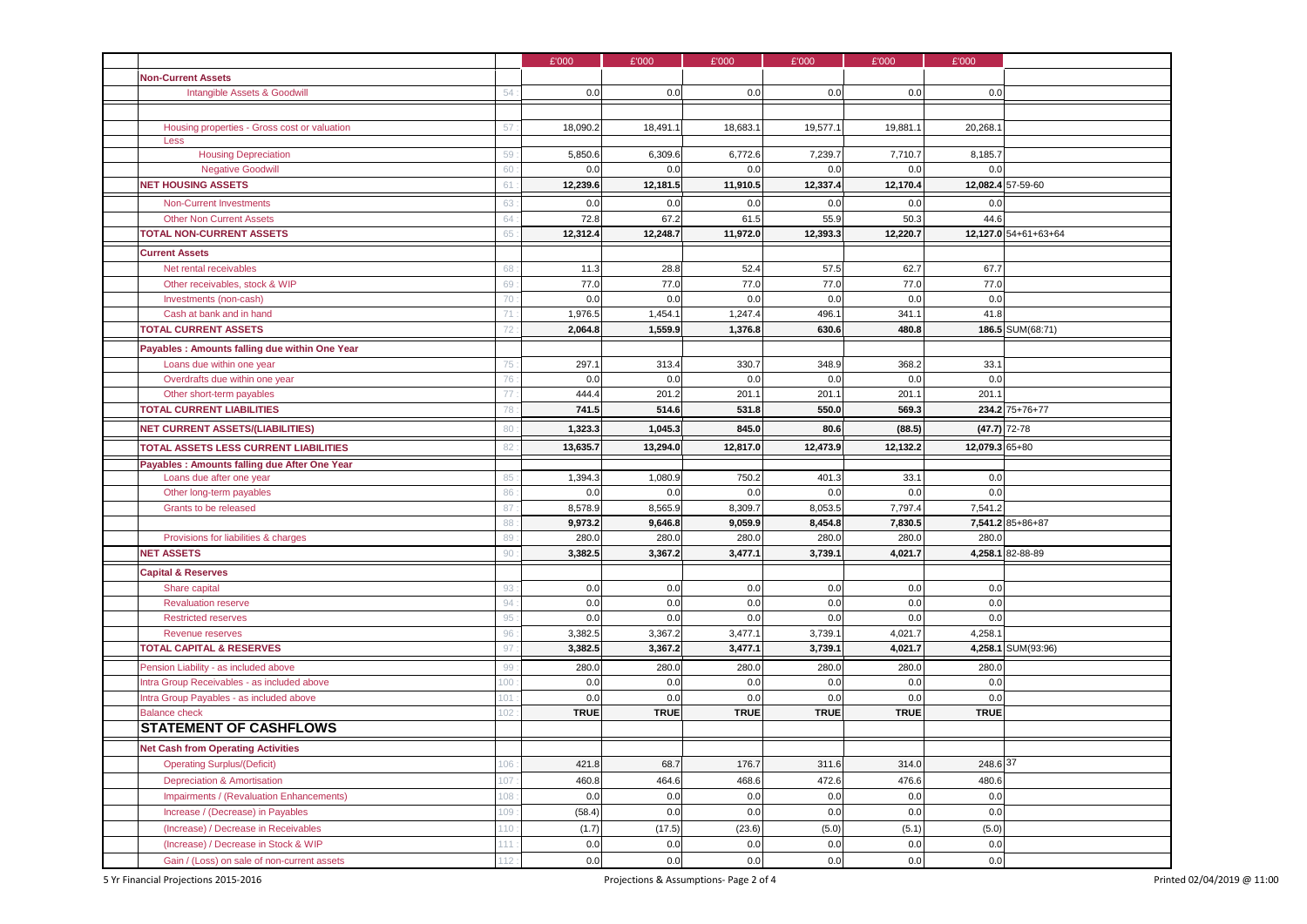|                                                                           |     | £'000       | £'000       | £'000       | £'000       | £'000       | £'000          |                      |
|---------------------------------------------------------------------------|-----|-------------|-------------|-------------|-------------|-------------|----------------|----------------------|
| <b>Non-Current Assets</b>                                                 |     |             |             |             |             |             |                |                      |
| Intangible Assets & Goodwill                                              | 54  | 0.0         | 0.0         | 0.0         | 0.0         | 0.0         | 0.0            |                      |
|                                                                           |     |             |             |             |             |             |                |                      |
| Housing properties - Gross cost or valuation                              | 57  | 18,090.2    | 18,491.1    | 18,683.     | 19,577.1    | 19,881.1    | 20,268.1       |                      |
| Less                                                                      |     |             |             |             |             |             |                |                      |
| <b>Housing Depreciation</b>                                               | 59  | 5,850.6     | 6,309.6     | 6,772.6     | 7,239.7     | 7,710.7     | 8,185.7        |                      |
| <b>Negative Goodwill</b>                                                  | 60  | 0.0         | 0.0         | 0.0         | 0.0         | 0.0         | 0.0            |                      |
| <b>NET HOUSING ASSETS</b>                                                 | 61  | 12,239.6    | 12,181.5    | 11,910.5    | 12,337.4    | 12,170.4    |                | 12,082.4 57-59-60    |
| <b>Non-Current Investments</b>                                            | 63  | 0.0         | 0.0         | 0.0         | 0.0         | 0.0         | 0.0            |                      |
| <b>Other Non Current Assets</b>                                           | 64  | 72.8        | 67.2        | 61.5        | 55.9        | 50.3        | 44.6           |                      |
| <b>TOTAL NON-CURRENT ASSETS</b>                                           | 65  | 12,312.4    | 12,248.7    | 11,972.0    | 12,393.3    | 12,220.7    |                | 12,127.0 54+61+63+64 |
| <b>Current Assets</b>                                                     |     |             |             |             |             |             |                |                      |
| Net rental receivables                                                    | 68  | 11.3        | 28.8        | 52.4        | 57.5        | 62.7        | 67.7           |                      |
| Other receivables, stock & WIP                                            | 69  | 77.0        | 77.0        | 77.0        | 77.0        | 77.0        | 77.0           |                      |
| Investments (non-cash)                                                    | 70  | 0.0         | 0.0         | 0.0         | 0.0         | 0.0         | 0.0            |                      |
| Cash at bank and in hand                                                  | 71  | 1,976.5     | 1,454.1     | 1,247.4     | 496.1       | 341.1       | 41.8           |                      |
| <b>TOTAL CURRENT ASSETS</b>                                               | 72  | 2,064.8     | 1,559.9     | 1,376.8     | 630.6       | 480.8       |                | 186.5 SUM(68:71)     |
| Payables : Amounts falling due within One Year                            |     |             |             |             |             |             |                |                      |
| Loans due within one year                                                 | 75  | 297.1       | 313.4       | 330.7       | 348.9       | 368.2       | 33.1           |                      |
| Overdrafts due within one year                                            | 76  | 0.0         | 0.0         | 0.0         | 0.0         | 0.0         | 0.0            |                      |
| Other short-term payables                                                 | 77  | 444.4       | 201.2       | 201.1       | 201.1       | 201.1       | 201.1          |                      |
| <b>TOTAL CURRENT LIABILITIES</b>                                          | 78  | 741.5       | 514.6       | 531.8       | 550.0       | 569.3       |                | 234.2 75+76+77       |
| <b>NET CURRENT ASSETS/(LIABILITIES)</b>                                   | 80  | 1,323.3     | 1,045.3     | 845.0       | 80.6        | (88.5)      |                | $(47.7)$ 72-78       |
| <b>TOTAL ASSETS LESS CURRENT LIABILITIES</b>                              | 82  | 13,635.7    | 13,294.0    | 12,817.0    | 12,473.9    | 12,132.2    | 12,079.3 65+80 |                      |
|                                                                           |     |             |             |             |             |             |                |                      |
| Payables : Amounts falling due After One Year<br>Loans due after one year | 85  | 1,394.3     | 1,080.9     | 750.2       | 401.3       | 33.1        | 0.0            |                      |
| Other long-term payables                                                  | 86  | 0.0         | 0.0         | 0.0         | 0.0         | 0.0         | 0.0            |                      |
| Grants to be released                                                     | 87  | 8,578.9     | 8,565.9     | 8,309.7     | 8,053.5     | 7,797.4     | 7,541.2        |                      |
|                                                                           | 88  | 9,973.2     | 9,646.8     | 9,059.9     | 8,454.8     | 7,830.5     |                | 7,541.2 85+86+87     |
| Provisions for liabilities & charges                                      | 89  | 280.0       | 280.0       | 280.0       | 280.0       | 280.0       | 280.0          |                      |
| <b>NET ASSETS</b>                                                         | 90  | 3,382.5     | 3,367.2     | 3,477.1     | 3,739.1     | 4,021.7     |                | 4,258.1 82-88-89     |
| <b>Capital &amp; Reserves</b>                                             |     |             |             |             |             |             |                |                      |
| Share capital                                                             | 93  | 0.0         | 0.0         | 0.0         | 0.0         | 0.0         | 0.0            |                      |
| <b>Revaluation reserve</b>                                                | 94  | 0.0         | 0.0         | 0.0         | 0.0         | 0.0         | 0.0            |                      |
| <b>Restricted reserves</b>                                                | 95  | 0.0         | 0.0         | 0.0         | 0.0         | 0.0         | 0.0            |                      |
| <b>Revenue reserves</b>                                                   | 96  | 3,382.5     | 3,367.2     | 3,477.1     | 3,739.7     | 4,021.7     | 4,258.1        |                      |
| <b>TOTAL CAPITAL &amp; RESERVES</b>                                       | 97  | 3,382.5     | 3,367.2     | 3,477.1     | 3,739.1     | 4,021.7     |                | 4,258.1 SUM(93:96)   |
| Pension Liability - as included above                                     | 99  | 280.0       | 280.0       | 280.0       | 280.0       | 280.0       | 280.0          |                      |
| Intra Group Receivables - as included above                               | 100 | 0.0         | 0.0         | 0.0         | 0.0         | 0.0         | 0.0            |                      |
| Intra Group Payables - as included above                                  | 101 | 0.0         | 0.0         | 0.0         | 0.0         | 0.0         | 0.0            |                      |
| <b>Balance check</b>                                                      | 102 | <b>TRUE</b> | <b>TRUE</b> | <b>TRUE</b> | <b>TRUE</b> | <b>TRUE</b> | <b>TRUE</b>    |                      |
| <b>STATEMENT OF CASHFLOWS</b>                                             |     |             |             |             |             |             |                |                      |
| <b>Net Cash from Operating Activities</b>                                 |     |             |             |             |             |             |                |                      |
| <b>Operating Surplus/(Deficit)</b>                                        | 106 | 421.8       | 68.7        | 176.7       | 311.6       | 314.0       | 248.6 37       |                      |
| <b>Depreciation &amp; Amortisation</b>                                    | 107 | 460.8       | 464.6       | 468.6       | 472.6       | 476.6       | 480.6          |                      |
| Impairments / (Revaluation Enhancements)                                  | 108 | 0.0         | 0.0         | 0.0         | 0.0         | 0.0         | 0.0            |                      |
| Increase / (Decrease) in Payables                                         | 109 | (58.4)      | 0.0         | 0.0         | 0.0         | 0.0         | 0.0            |                      |
| (Increase) / Decrease in Receivables                                      | 110 | (1.7)       | (17.5)      | (23.6)      | (5.0)       | (5.1)       | (5.0)          |                      |
| (Increase) / Decrease in Stock & WIP                                      | 111 | 0.0         | 0.0         | 0.0         | 0.0         | 0.0         | 0.0            |                      |
| Gain / (Loss) on sale of non-current assets                               | 112 | 0.0         | 0.0         | 0.0         | 0.0         | 0.0         | 0.0            |                      |
|                                                                           |     |             |             |             |             |             |                |                      |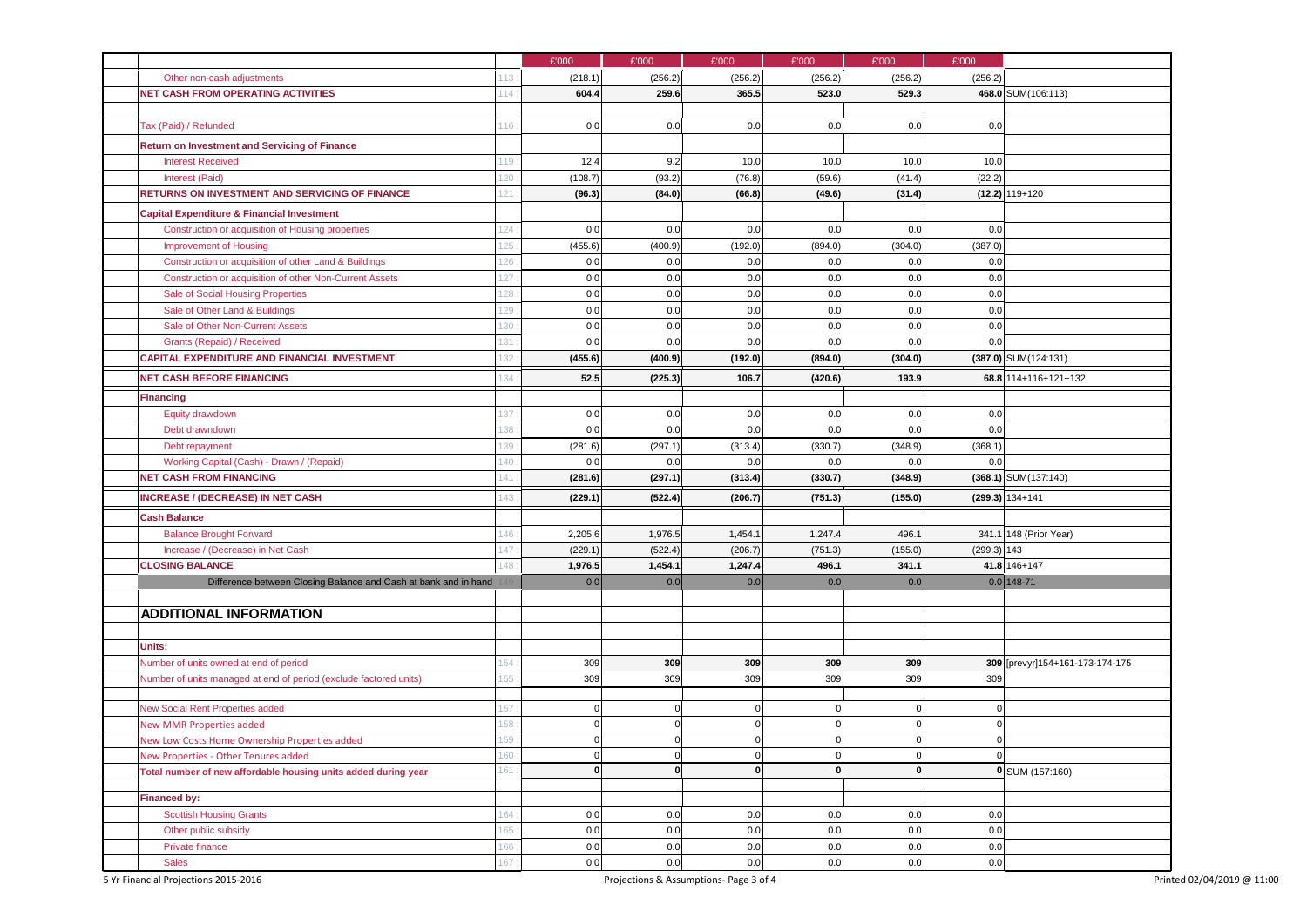|                                                                   | £'000                                        | £'000                       | £'000                      | £'000                          | £'000                  | £'000         |                                 |
|-------------------------------------------------------------------|----------------------------------------------|-----------------------------|----------------------------|--------------------------------|------------------------|---------------|---------------------------------|
| Other non-cash adjustments                                        | 113<br>(218.1)                               | (256.2)                     | (256.2)                    | (256.2)                        | (256.2)                | (256.2)       |                                 |
| <b>NET CASH FROM OPERATING ACTIVITIES</b>                         | 604.4<br>114                                 | 259.6                       | 365.5                      | 523.0                          | 529.3                  |               | 468.0 SUM(106:113)              |
|                                                                   |                                              |                             |                            |                                |                        |               |                                 |
| Tax (Paid) / Refunded                                             | 0.0<br>116                                   | 0.0                         | 0.0                        | 0.0                            | 0.0                    | 0.0           |                                 |
| <b>Return on Investment and Servicing of Finance</b>              |                                              |                             |                            |                                |                        |               |                                 |
| <b>Interest Received</b>                                          | 12.4<br>19                                   | 9.2                         | 10.0                       | 10.0                           | 10.0                   | 10.0          |                                 |
| Interest (Paid)                                                   | 120<br>(108.7)                               | (93.2)                      | (76.8)                     | (59.6)                         | (41.4)                 | (22.2)        |                                 |
| RETURNS ON INVESTMENT AND SERVICING OF FINANCE<br>121             | (96.3)                                       | (84.0)                      | (66.8)                     | (49.6)                         | (31.4)                 |               | $(12.2) 119+120$                |
| <b>Capital Expenditure &amp; Financial Investment</b>             |                                              |                             |                            |                                |                        |               |                                 |
| Construction or acquisition of Housing properties                 | 124<br>0.0                                   | 0.0                         | 0.0                        | 0.0                            | 0.0                    | 0.0           |                                 |
| <b>Improvement of Housing</b>                                     | 125<br>(455.6)                               | (400.9)                     | (192.0)                    | (894.0)                        | (304.0)                | (387.0)       |                                 |
| Construction or acquisition of other Land & Buildings             | 0.0<br>126                                   | 0.0                         | 0.0                        | 0.0                            | 0.0                    | 0.0           |                                 |
| Construction or acquisition of other Non-Current Assets           | 127<br>$0.0\,$                               | 0.0                         | 0.0                        | 0.0                            | 0.0                    | 0.0           |                                 |
| Sale of Social Housing Properties                                 | 128<br>0.0                                   | 0.0                         | 0.0                        | 0.0                            | 0.0                    | 0.0           |                                 |
| Sale of Other Land & Buildings                                    | 129<br>0.0                                   | 0.0                         | 0.0                        | 0.0                            | 0.0                    | 0.0           |                                 |
| Sale of Other Non-Current Assets                                  | 130<br>0.0                                   | 0.0                         | 0.0                        | 0.0                            | 0.0                    | 0.0           |                                 |
| Grants (Repaid) / Received<br>131                                 | $0.0\,$                                      | 0.0                         | 0.0                        | 0.0                            | 0.0                    | 0.0           |                                 |
| <b>CAPITAL EXPENDITURE AND FINANCIAL INVESTMENT</b>               | 32<br>(455.6)                                | (400.9)                     | (192.0)                    | (894.0)                        | (304.0)                |               | $(387.0)$ SUM $(124:131)$       |
| <b>NET CASH BEFORE FINANCING</b>                                  | 34<br>52.5                                   | (225.3)                     | 106.7                      | (420.6)                        | 193.9                  |               | 68.8 114+116+121+132            |
| <b>Financing</b>                                                  |                                              |                             |                            |                                |                        |               |                                 |
| Equity drawdown                                                   | 137<br>0.0                                   | 0.0                         | 0.0                        | 0.0                            | 0.0                    | 0.0           |                                 |
| Debt drawndown                                                    | 0.0<br>138                                   | 0.0                         | 0.0                        | 0.0                            | 0.0                    | 0.0           |                                 |
| Debt repayment                                                    | (281.6)<br>139                               | (297.1)                     | (313.4)                    | (330.7)                        | (348.9)                | (368.1)       |                                 |
| Working Capital (Cash) - Drawn / (Repaid)                         | 140<br>0.0                                   | 0.0                         | 0.0                        | 0.0                            | 0.0                    | 0.0           |                                 |
| <b>NET CASH FROM FINANCING</b><br>141                             | (281.6)                                      | (297.1)                     | (313.4)                    | (330.7)                        | (348.9)                |               | (368.1) SUM(137:140)            |
| <b>INCREASE / (DECREASE) IN NET CASH</b>                          | 43<br>(229.1)                                | (522.4)                     | (206.7)                    | (751.3)                        | (155.0)                |               | $(299.3) 134 + 141$             |
| <b>Cash Balance</b>                                               |                                              |                             |                            |                                |                        |               |                                 |
| <b>Balance Brought Forward</b>                                    | 2,205.6<br>146                               | 1,976.5                     | 1,454.1                    | 1,247.4                        | 496.                   |               | 341.1 148 (Prior Year)          |
| Increase / (Decrease) in Net Cash                                 | (229.1)<br>147                               | (522.4)                     | (206.7)                    | (751.3)                        | (155.0)                | $(299.3)$ 143 |                                 |
| <b>CLOSING BALANCE</b>                                            | 148<br>1,976.5                               | 1,454.1                     | 1,247.4                    | 496.1                          | 341.1                  |               | 41.8 146+147                    |
| Difference between Closing Balance and Cash at bank and in hand   | 0.0                                          | 0.0                         | 0.0                        | 0.0                            | 0.0                    |               | $0.0$ 148-71                    |
|                                                                   |                                              |                             |                            |                                |                        |               |                                 |
| <b>ADDITIONAL INFORMATION</b>                                     |                                              |                             |                            |                                |                        |               |                                 |
|                                                                   |                                              |                             |                            |                                |                        |               |                                 |
| Units:                                                            |                                              |                             |                            |                                |                        |               |                                 |
| Number of units owned at end of period<br>154                     | 309                                          | 309                         | 309                        | 309                            | 309                    |               | 309 [prevyr]154+161-173-174-175 |
| Number of units managed at end of period (exclude factored units) | 155<br>309                                   | 309                         | 309                        | 309                            | 309                    | 309           |                                 |
|                                                                   |                                              |                             |                            |                                |                        |               |                                 |
| New Social Rent Properties added                                  | 157<br>$\mathbf 0$                           | $\mathbf 0$                 | $\mathsf{C}$               | $\Omega$                       | $\mathbf 0$            | $\Omega$      |                                 |
| <b>New MMR Properties added</b>                                   | $\mathbf 0$<br>158                           | $\mathsf 0$                 | $\Omega$                   | $\Omega$                       | $\Omega$               | $\mathbf 0$   |                                 |
| New Low Costs Home Ownership Properties added                     | 159<br>0                                     | $\mathbf 0$                 | $\Omega$                   | $\Omega$                       | $\mathbf 0$            | 0             |                                 |
| New Properties - Other Tenures added                              | 160<br>$\overline{0}$<br>161<br>$\mathbf{0}$ | $\mathbf 0$<br>$\mathbf{0}$ | $\overline{0}$<br>$\Omega$ | $\overline{0}$<br>$\mathbf{0}$ | $\pmb{0}$<br>$\pmb{0}$ | $\pmb{0}$     |                                 |
| Total number of new affordable housing units added during year    |                                              |                             |                            |                                |                        |               | 0 SUM (157:160)                 |
| Financed by:                                                      |                                              |                             |                            |                                |                        |               |                                 |
| <b>Scottish Housing Grants</b>                                    | 164<br>$0.0\,$                               | 0.0                         | 0.0                        | 0.0                            | 0.0                    | 0.0           |                                 |
| Other public subsidy                                              | 165<br>$0.0\,$                               | $0.0\,$                     | 0.0                        | 0.0                            | 0.0                    | 0.0           |                                 |
| Private finance                                                   | 166<br>$0.0\,$                               | $0.0\,$                     | 0.0                        | 0.0                            | 0.0                    | $0.0\,$       |                                 |
| <b>Sales</b>                                                      | $0.0\,$<br>167                               | $0.0\,$                     | 0.0                        | 0.0                            | $0.0\,$                | 0.0           |                                 |